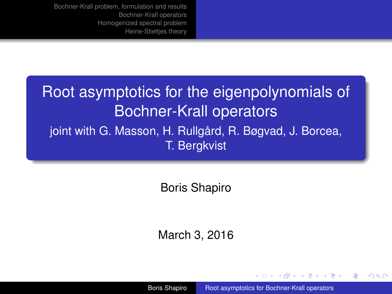# <span id="page-0-0"></span>Root asymptotics for the eigenpolynomials of Bochner-Krall operators joint with G. Masson, H. Rullgård, R. Bøgvad, J. Borcea, T. Bergkvist

Boris Shapiro

March 3, 2016

Boris Shapiro [Root asymptotics for Bochner-Krall operators](#page-34-0)

イロメ イ押 メイヨメ イヨメ

 $2Q$ 

э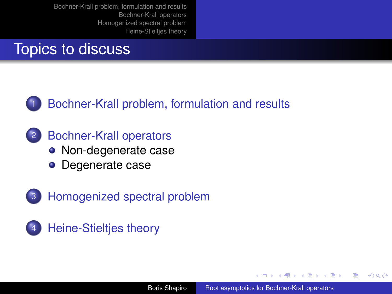# Topics to discuss



## [Bochner-Krall problem, formulation and results](#page-4-0)

- 2 [Bochner-Krall operators](#page-9-0)
	- [Non-degenerate case](#page-11-0)
	- [Degenerate case](#page-16-0)
- 3 [Homogenized spectral problem](#page-22-0)
- [Heine-Stieltjes theory](#page-27-0)

4 0 8 4 间 メラメメラト

 $QQ$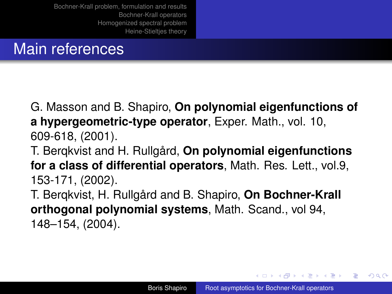## Main references

G. Masson and B. Shapiro, **On polynomial eigenfunctions of a hypergeometric-type operator**, Exper. Math., vol. 10, 609-618, (2001).

T. Berqkvist and H. Rullgård, **On polynomial eigenfunctions for a class of differential operators**, Math. Res. Lett., vol.9, 153-171, (2002).

T. Berqkvist, H. Rullgård and B. Shapiro, **On Bochner-Krall orthogonal polynomial systems**, Math. Scand., vol 94, 148–154, (2004).

イロメ イ押 メイヨメ イヨメ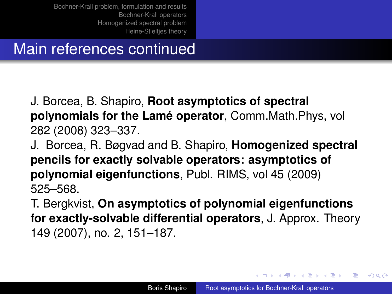# Main references continued

J. Borcea, B. Shapiro, **Root asymptotics of spectral polynomials for the Lamé operator**, Comm.Math.Phys, vol 282 (2008) 323–337.

J. Borcea, R. Bøgvad and B. Shapiro, **Homogenized spectral pencils for exactly solvable operators: asymptotics of polynomial eigenfunctions**, Publ. RIMS, vol 45 (2009) 525–568.

T. Bergkvist, **On asymptotics of polynomial eigenfunctions for exactly-solvable differential operators**, J. Approx. Theory 149 (2007), no. 2, 151–187.

イロメ イ押 メイヨメ イヨメ

 $QQ$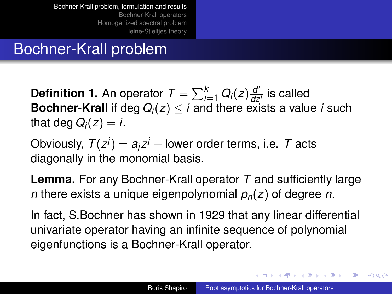# <span id="page-4-0"></span>Bochner-Krall problem

**Definition 1.** An operator  $T = \sum_{i=1}^{k} Q_i(z) \frac{d^i}{dz^i}$ *dz<sup>i</sup>* is called **Bochner-Krall** if deg  $Q_i(z) \leq i$  and there exists a value *i* such that deg  $Q_i(z) = i$ .

Obviously,  $T(z^j) = a_j z^j + \text{lower order terms, i.e. } T \text{ acts}$ diagonally in the monomial basis.

**Lemma.** For any Bochner-Krall operator *T* and sufficiently large *n* there exists a unique eigenpolynomial *pn*(*z*) of degree *n*.

In fact, S.Bochner has shown in 1929 that any linear differential univariate operator having an infinite sequence of polynomial eigenfunctions is a Bochner-Krall operator.

イロメ 不優 トメ ヨ メ ス ヨ メー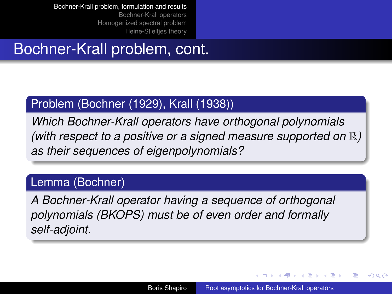# Bochner-Krall problem, cont.

#### Problem (Bochner (1929), Krall (1938))

*Which Bochner-Krall operators have orthogonal polynomials (with respect to a positive or a signed measure supported on* R*) as their sequences of eigenpolynomials?*

#### Lemma (Bochner)

*A Bochner-Krall operator having a sequence of orthogonal polynomials (BKOPS) must be of even order and formally self-adjoint.*

イロメ イ押 メイヨメ イヨメ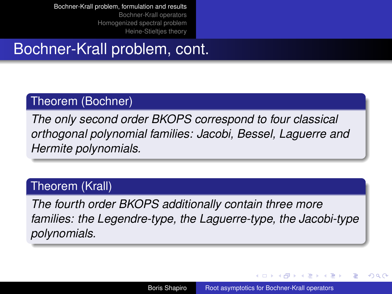# Bochner-Krall problem, cont.

#### Theorem (Bochner)

*The only second order BKOPS correspond to four classical orthogonal polynomial families: Jacobi, Bessel, Laguerre and Hermite polynomials.*

#### Theorem (Krall)

*The fourth order BKOPS additionally contain three more families: the Legendre-type, the Laguerre-type, the Jacobi-type polynomials.*

イロメ イ押 メイヨメ イヨメ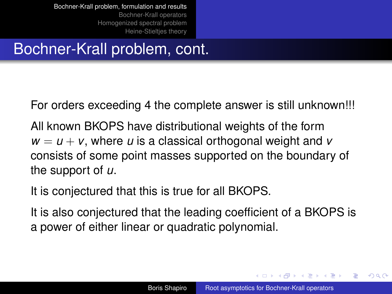# Bochner-Krall problem, cont.

For orders exceeding 4 the complete answer is still unknown!!!

All known BKOPS have distributional weights of the form  $w = u + v$ , where *u* is a classical orthogonal weight and *v* consists of some point masses supported on the boundary of the support of *u*.

It is conjectured that this is true for all BKOPS.

It is also conjectured that the leading coefficient of a BKOPS is a power of either linear or quadratic polynomial.

イロメ イ押 メイヨメ イヨメ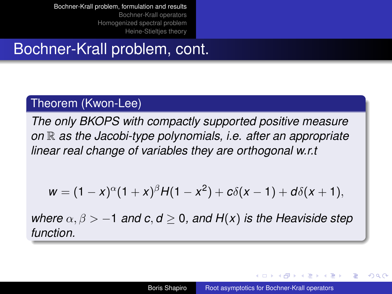# Bochner-Krall problem, cont.

#### Theorem (Kwon-Lee)

*The only BKOPS with compactly supported positive measure on* R *as the Jacobi-type polynomials, i.e. after an appropriate linear real change of variables they are orthogonal w.r.t*

$$
w = (1-x)^{\alpha}(1+x)^{\beta}H(1-x^2) + c\delta(x-1) + d\delta(x+1),
$$

*where*  $\alpha$ ,  $\beta$  > −1 *and*  $c$ ,  $d$  > 0, *and*  $H(x)$  *is the Heaviside step function.*

イロメ イ押 メイヨメ イヨメ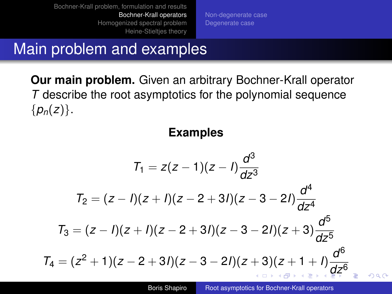[Non-degenerate case](#page-11-0) [Degenerate case](#page-16-0)

# <span id="page-9-0"></span>Main problem and examples

**Our main problem.** Given an arbitrary Bochner-Krall operator *T* describe the root asymptotics for the polynomial sequence  $\{p_n(z)\}.$ 

#### **Examples**

$$
T_1 = z(z - 1)(z - l)\frac{d^3}{dz^3}
$$
  
\n
$$
T_2 = (z - l)(z + l)(z - 2 + 3l)(z - 3 - 2l)\frac{d^4}{dz^4}
$$
  
\n
$$
T_3 = (z - l)(z + l)(z - 2 + 3l)(z - 3 - 2l)(z + 3)\frac{d^5}{dz^5}
$$
  
\n
$$
T_4 = (z^2 + 1)(z - 2 + 3l)(z - 3 - 2l)(z + 3)(z + 1 + l)\frac{d^6}{dz^6}
$$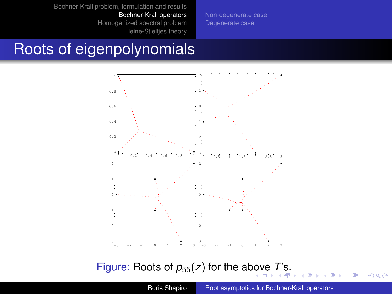[Non-degenerate case](#page-11-0) [Degenerate case](#page-16-0)

# <span id="page-10-0"></span>Roots of eigenpolynomials



#### Figure: Roots of  $p_{55}(z)$  for the a[bov](#page-9-0)e [T](#page-9-0)['s.](#page-10-0)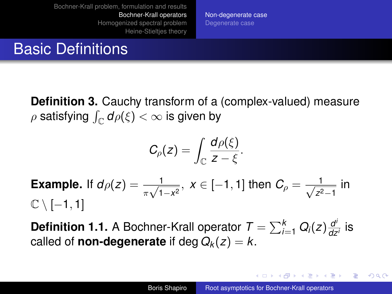[Non-degenerate case](#page-11-0) [Degenerate case](#page-16-0)

## <span id="page-11-0"></span>Basic Definitions

**Definition 3.** Cauchy transform of a (complex-valued) measure  $\rho$  satisfying  $\int_{\mathbb C} d\rho(\xi) < \infty$  is given by

$$
C_{\rho}(z)=\int_{\mathbb{C}}\frac{d\rho(\xi)}{z-\xi}.
$$

**Example.** If  $d\rho(z) = \frac{1}{\pi\sqrt{1-x^2}}, x \in [-1,1]$  then  $C_\rho = \frac{1}{\sqrt{z^2}}$ <mark>⊥\_\_</mark> in  $\mathbb{C} \setminus [-1,1]$ 

**Definition 1.1.** A Bochner-Krall operator  $\mathcal{T} = \sum_{i=1}^k Q_i(z) \frac{d^i}{dz^i}$  $\frac{a}{dz^i}$  is called of **non-degenerate** if deg  $Q_k(z) = k$ .

メロメメ 御きメ 老き メ 悪き し

÷.  $QQ$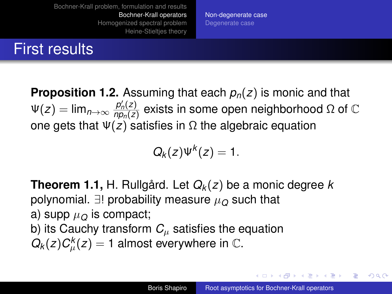First results

[Non-degenerate case](#page-11-0) [Degenerate case](#page-16-0)

#### **Proposition 1.2.** Assuming that each  $p_n(z)$  is monic and that  $\Psi(z) = \lim_{n \to \infty} \frac{p'_n(z)}{n p_n(z)}$  $\frac{p_n'(z)}{np_n(z)}$  exists in some open neighborhood Ω of  $\mathbb C$ one gets that  $\Psi(z)$  satisfies in  $\Omega$  the algebraic equation

$$
Q_k(z)\Psi^k(z)=1.
$$

**Theorem 1.1,** H. Rullgård. Let *Q<sup>k</sup>* (*z*) be a monic degree *k* polynomial.  $∃!$  probability measure  $\mu_0$  such that a) supp  $\mu_{\Omega}$  is compact: b) its Cauchy transform  $C_{\mu}$  satisfies the equation  $Q_k(z)C^k_\mu(z)=1$  almost everywhere in  $\mathbb C.$ 

**K ロ ト K 何 ト K ヨ ト K ヨ ト**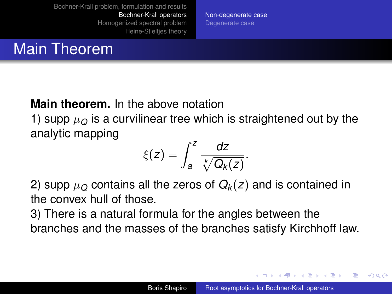[Non-degenerate case](#page-11-0) [Degenerate case](#page-16-0)

## Main Theorem

#### **Main theorem.** In the above notation

1) supp  $\mu_{\Omega}$  is a curvilinear tree which is straightened out by the analytic mapping

$$
\xi(z)=\int_a^z\frac{dz}{\sqrt[k]{Q_k(z)}}.
$$

2) supp  $\mu_{\Omega}$  contains all the zeros of  $Q_k(z)$  and is contained in the convex hull of those.

3) There is a natural formula for the angles between the branches and the masses of the branches satisfy Kirchhoff law.

イロメ イ押メ イヨメ イヨメー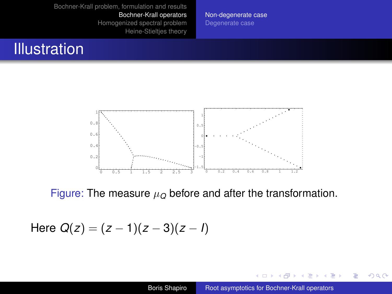[Non-degenerate case](#page-11-0) [Degenerate case](#page-16-0)

## <span id="page-14-0"></span>**Illustration**



Figure: The measure  $\mu_Q$  before and after the transformation.

Here  $Q(z) = (z - 1)(z - 3)(z - 1)$ 

←母

× 画

4日下

 $\rightarrow$  3  $\pm$  3  $\rightarrow$ 

 $2990$ 

B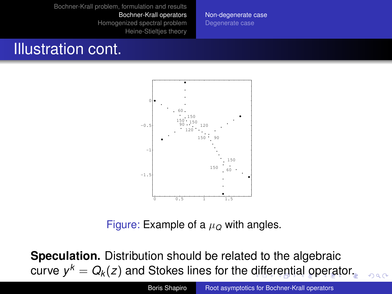[Non-degenerate case](#page-11-0) [Degenerate case](#page-16-0)

## <span id="page-15-0"></span>Illustration cont.



Figure: Example of a  $\mu$ <sup> $\alpha$ </sup> with angles.

**Speculation.** Distribution should be related to the algebraic  $\mathsf{curve} \; \mathsf{y}^k = \mathsf{Q}_k(z)$  $\mathsf{curve} \; \mathsf{y}^k = \mathsf{Q}_k(z)$  $\mathsf{curve} \; \mathsf{y}^k = \mathsf{Q}_k(z)$  $\mathsf{curve} \; \mathsf{y}^k = \mathsf{Q}_k(z)$  $\mathsf{curve} \; \mathsf{y}^k = \mathsf{Q}_k(z)$  and Stokes lines for the [dif](#page-14-0)f[er](#page-0-0)e[nt](#page-15-0)[i](#page-16-0)[al](#page-0-0) [op](#page-34-0)erat[or.](#page-0-0)

 $2980$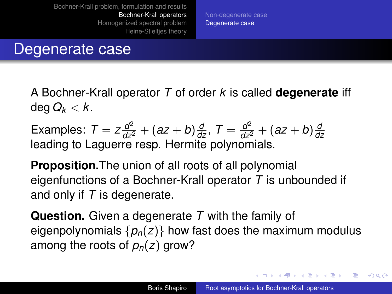[Non-degenerate case](#page-11-0) [Degenerate case](#page-16-0)

## <span id="page-16-0"></span>Degenerate case

A Bochner-Krall operator *T* of order *k* is called **degenerate** iff deg  $Q_k < k$ .

Examples:  $T = z \frac{d^2}{dz^2} + (az + b) \frac{d}{dz}, T = \frac{d^2}{dz^2} + (az + b) \frac{d}{dz}$ *dz* leading to Laguerre resp. Hermite polynomials.

**Proposition.**The union of all roots of all polynomial eigenfunctions of a Bochner-Krall operator *T* is unbounded if and only if *T* is degenerate.

**Question.** Given a degenerate *T* with the family of eigenpolynomials  $\{p_n(z)\}\$  how fast does the maximum modulus among the roots of  $p_n(z)$  grow?

イロト イ団ト イヨト イヨト

ă,  $QQ$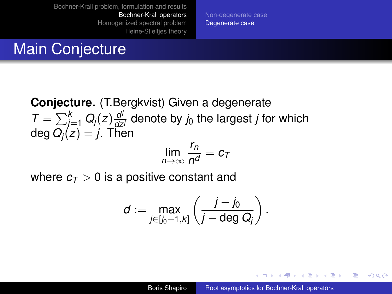[Non-degenerate case](#page-11-0) [Degenerate case](#page-16-0)

## Main Conjecture

**Conjecture.** (T.Bergkvist) Given a degenerate  $T = \sum_{j=1}^{k} Q_j(z) \frac{d^j}{dz^j}$  denote by *j*<sub>0</sub> the largest *j* for which  $deg Q_i(z) = j$ . Then

$$
\lim_{n\to\infty}\frac{r_n}{n^d}=c_T
$$

where  $c_{\text{T}} > 0$  is a positive constant and

$$
d:=\max_{j\in [j_0+1,k]}\left(\frac{j-j_0}{j-\deg Q_j}\right).
$$

イロト イ団ト イヨト イヨト

ă,  $QQ$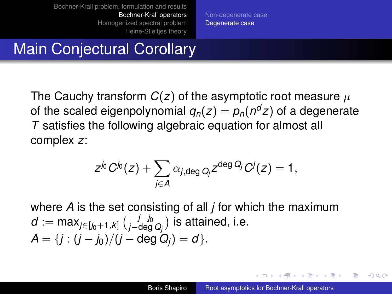[Non-degenerate case](#page-11-0) [Degenerate case](#page-16-0)

# Main Conjectural Corollary

The Cauchy transform  $C(z)$  of the asymptotic root measure  $\mu$ of the scaled eigenpolynomial  $q_n(z) = p_n(n^d z)$  of a degenerate *T* satisfies the following algebraic equation for almost all complex *z*:

$$
\mathsf{z}^{j_0}C^{j_0}(\mathsf{z})+\sum_{j\in\mathsf{A}}\alpha_{j,\mathsf{deg}\,Q_j}\mathsf{z}^{\mathsf{deg}\,Q_j}C^j(\mathsf{z})=1,
$$

where *A* is the set consisting of all *j* for which the maximum *d* := max<sub>*j*∈[*j*<sub>0</sub>+1,*k*] ( $\frac{j-j_0}{j−deg}$ </sub> *j−l*eg*Q<sub>j</sub>*) is attained, i.e.  $A = \{j : (j - j_0)/(j - \deg Q_j) = d\}.$ 

イロメ イ押メ イヨメ イヨメー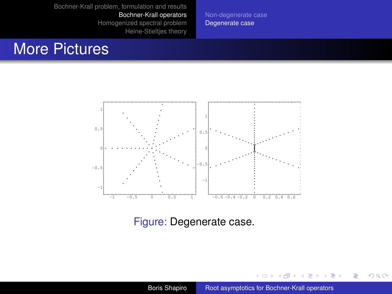[Non-degenerate case](#page-11-0) [Degenerate case](#page-16-0)

## More Pictures



#### Figure: Degenerate case.

Boris Shapiro [Root asymptotics for Bochner-Krall operators](#page-0-0)

€ □ 下 ←← × €  $\mathbf{y} \rightarrow \mathbf{z}$ 

÷.

 $299$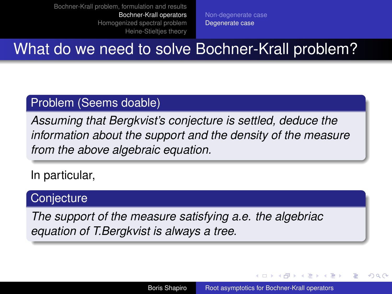[Non-degenerate case](#page-11-0) [Degenerate case](#page-16-0)

<span id="page-20-0"></span>What do we need to solve Bochner-Krall problem?

#### Problem (Seems doable)

*Assuming that Bergkvist's conjecture is settled, deduce the information about the support and the density of the measure from the above algebraic equation.*

In particular,

#### **Conjecture**

*The support of the measure satisfying a.e. the algebriac equation of T.Bergkvist is always a tree.*

イロメ イ押 メイヨメ イヨメ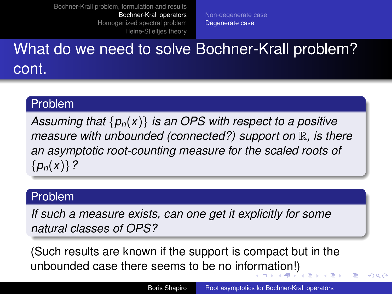[Non-degenerate case](#page-11-0) [Degenerate case](#page-16-0)

# <span id="page-21-0"></span>What do we need to solve Bochner-Krall problem? cont.

#### Problem

*Assuming that* {*pn*(*x*)} *is an OPS with respect to a positive measure with unbounded (connected?) support on* R*, is there an asymptotic root-counting measure for the scaled roots of* {*pn*(*x*)}*?*

#### Problem

*If such a measure exists, can one get it explicitly for some natural classes of OPS?*

(Such results are known if the support is compact but in the unbounded case there seems to be no inf[orm](#page-20-0)[at](#page-22-0)[i](#page-20-0)[on](#page-21-0)[!\)](#page-22-0)

 $\Omega$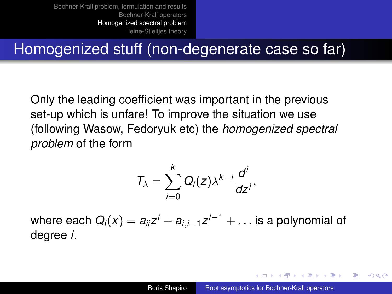# <span id="page-22-0"></span>Homogenized stuff (non-degenerate case so far)

Only the leading coefficient was important in the previous set-up which is unfare! To improve the situation we use (following Wasow, Fedoryuk etc) the *homogenized spectral problem* of the form

$$
T_{\lambda}=\sum_{i=0}^k Q_i(z)\lambda^{k-i}\frac{d^i}{dz^i},
$$

where each  $Q_i(x) = a_{ii}z^i + a_{i,i-1}z^{i-1} + \ldots$  is a polynomial of degree *i*.

イロメ イ押メ イヨメ イヨメー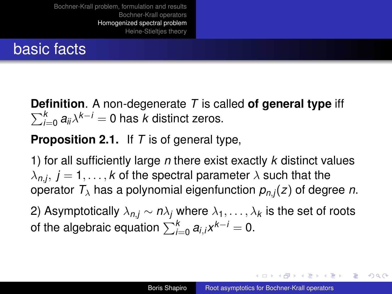## basic facts

**Definition** . A non-degenerate *T* is called **of general type** iff  $\sum_{i=1}^k$  $\sum_{i=0}^{k} a_{ii} \lambda^{k-i} = 0$  has *k* distinct zeros.

### **Proposition 2.1.** If *T* is of general type,

1) for all sufficiently large *n* there exist exactly *k* distinct values  $\lambda_{n,j},\ j=1,\ldots,k$  of the spectral parameter  $\lambda$  such that the operator  $T_{\lambda}$  has a polynomial eigenfunction  $p_{n,i}(z)$  of degree *n*.

2) Asymptotically  $\lambda_{n,i} \sim n\lambda_i$  where  $\lambda_1, \ldots, \lambda_k$  is the set of roots of the algebraic equation  $\sum_{i=0}^k a_{i,i}x^{k-i}=0$ .

イロト イ団ト イヨト イヨト

ă,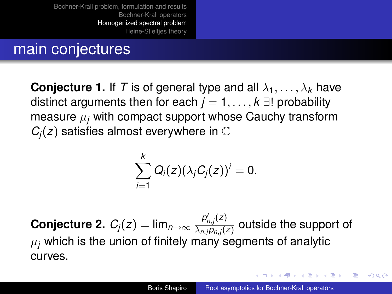## <span id="page-24-0"></span>main conjectures

**Conjecture 1.** If T is of general type and all  $\lambda_1, \ldots, \lambda_k$  have distinct arguments then for each  $j = 1, \ldots, k$   $\exists$ ! probability measure  $\mu_i$  with compact support whose Cauchy transform  $C_i(z)$  satisfies almost everywhere in  $\mathbb C$ 

$$
\sum_{i=1}^k Q_i(z)(\lambda_j C_j(z))^i = 0.
$$

 $\mathsf{Conjecture\ 2.}\ \mathcal{C}_j(z)=\mathsf{lim}_{n\to\infty}\frac{p'_{n,j}(z)}{\lambda_n\cdot\mathsf{Im}\ n(z)}$  $\frac{\mu_{n,j}(z)}{\lambda_{n,j}\rho_{n,j}(z)}$  outside the support of  $\mu_i$  which is the union of finitely many segments of analytic curves.

イロメ 不優 トメ ヨ メ ス ヨ メー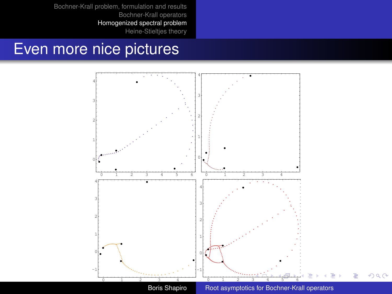## <span id="page-25-0"></span>Even more nice pictures

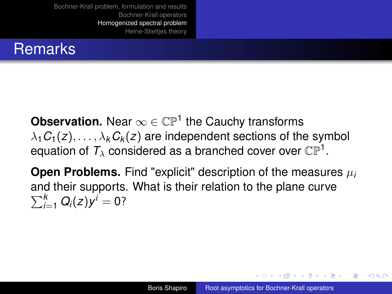# <span id="page-26-0"></span>**Remarks**

**Observation.** Near  $\infty \in \mathbb{CP}^1$  the Cauchy transforms  $\lambda_1 C_1(z), \ldots, \lambda_k C_k(z)$  are independent sections of the symbol equation of  $\mathcal{T}_\lambda$  considered as a branched cover over  $\mathbb{CP}^1.$ 

**Open Problems.** Find "explicit" description of the measures  $\mu_i$ and their supports. What is their relation to the plane curve  $\sum_{i=1}^{k} Q_i(z) y^i = 0$ ?

 $\left\{ \begin{array}{ccc} 1 & 0 & 0 \\ 0 & 1 & 0 \end{array} \right.$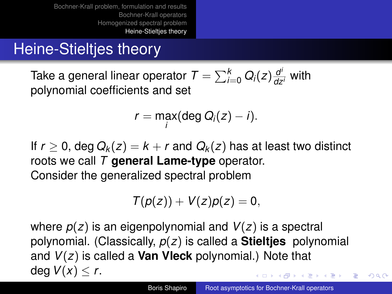# <span id="page-27-0"></span>Heine-Stieltjes theory

Take a general linear operator  $\mathcal{T} = \sum_{i=0}^k Q_i(z) \frac{d^i}{dz^i}$  with polynomial coefficients and set

$$
r = \max_i (\deg Q_i(z) - i).
$$

If  $r > 0$ , deg  $Q_k(z) = k + r$  and  $Q_k(z)$  has at least two distinct roots we call *T* **general Lame-type** operator.

Consider the generalized spectral problem

$$
T(p(z)) + V(z)p(z) = 0,
$$

where *p*(*z*) is an eigenpolynomial and *V*(*z*) is a spectral polynomial. (Classically, *p*(*z*) is called a **Stieltjes** polynomial and *V*(*z*) is called a **Van Vleck** polynomial.) Note that deg  $V(x) < r$ . イロメ イ押 メイヨメ イヨメ

 $\Omega$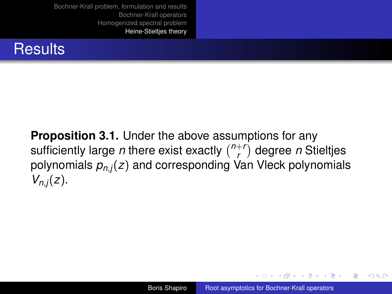

**Proposition 3.1.** Under the above assumptions for any sufficiently large *n* there exist exactly  $\binom{n+r}{r}$ *r* degree *n* Stieltjes polynomials *pn*,*j*(*z*) and corresponding Van Vleck polynomials *Vn*,*j*(*z*).

イロメ イ押メ イヨメ イヨメー

 $2990$ 

ă,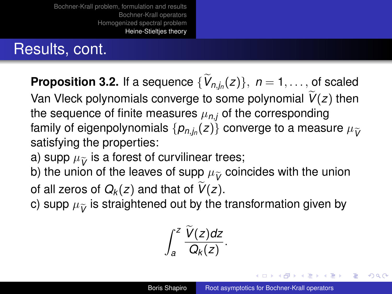# Results, cont.

**Proposition 3.2.** If a sequence  $\{V_{n,j_n}(z)\}, n = 1, \ldots,$  of scaled Van Vleck polynomials converge to some polynomial  $V(z)$  then the sequence of finite measures  $\mu_{n,i}$  of the corresponding family of eigenpolynomials  $\{p_{n,j_n}(z)\}$  converge to a measure  $\mu_{\widetilde{V}}$ <br>catiofying the proportion: satisfying the properties:

- a) supp  $\mu_{\widetilde{V}}$  is a forest of curvilinear trees;
- b) the union of the leaves of supp  $\mu_{\widetilde{V}}$  coincides with the union
- of all zeros of  $Q_k(z)$  and that of  $V(z)$ .
- c) supp  $\mu_{\tilde{\nu}}$  is straightened out by the transformation given by

$$
\int_a^z \frac{\widetilde{V}(z)dz}{Q_k(z)}.
$$

イロメ イ押 メイヨメ イヨメ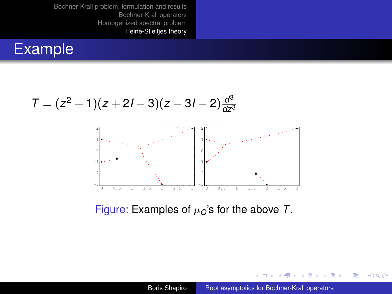## Example

$$
T = (z^2 + 1)(z + 2l - 3)(z - 3l - 2)\frac{d^3}{dz^3}
$$



Figure: Examples of µ*Q*'s for the above *T*.

4 ロ ▶ 4 伊

 $\mathbf{y} \rightarrow \mathbf{z}$ 

É ×  $\mathcal{A}$ 

÷.

 $299$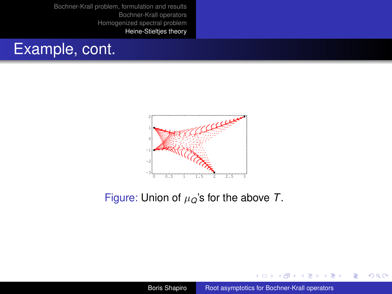



Figure: Union of µ*Q*'s for the above *T*.

(ロ) (伊)

 $A\cong A\rightarrow A\cong A$ 

÷.

 $2990$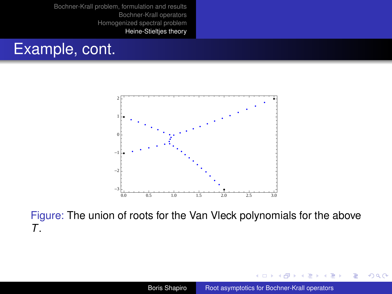



Figure: The union of roots for the Van Vleck polynomials for the above *T*.

4日)

 $2990$ 

ă,

B

×.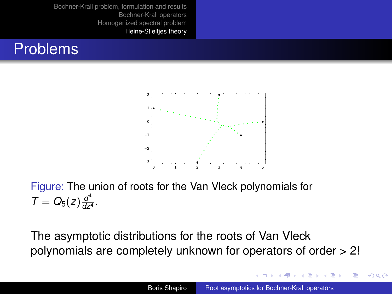



Figure: The union of roots for the Van Vleck polynomials for  $T = Q_5(z) \frac{d^4}{dz^4}$  $\frac{a}{dz^4}$ .

The asymptotic distributions for the roots of Van Vleck polynomials are completely unknown for operators of order > 2!

**K ロ ト K 伊 ト K ヨ ト K** 

 $290$ 

ă